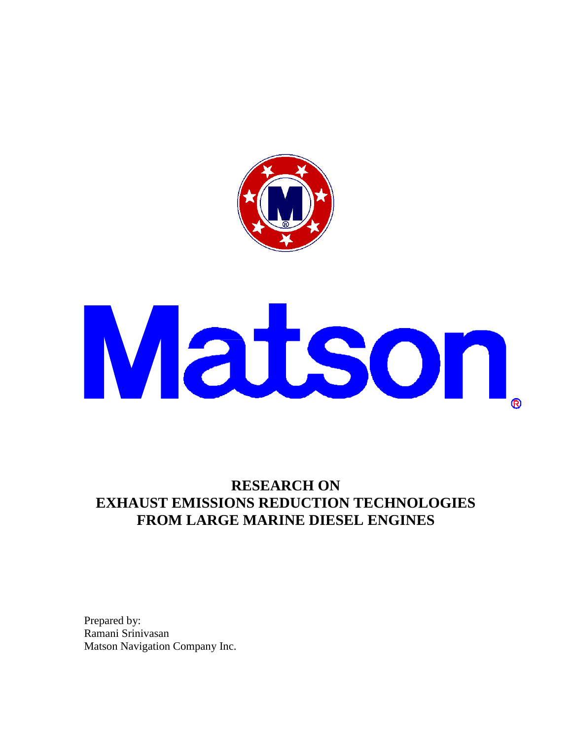

# Matson

# **RESEARCH ON EXHAUST EMISSIONS REDUCTION TECHNOLOGIES FROM LARGE MARINE DIESEL ENGINES**

Prepared by: Ramani Srinivasan Matson Navigation Company Inc.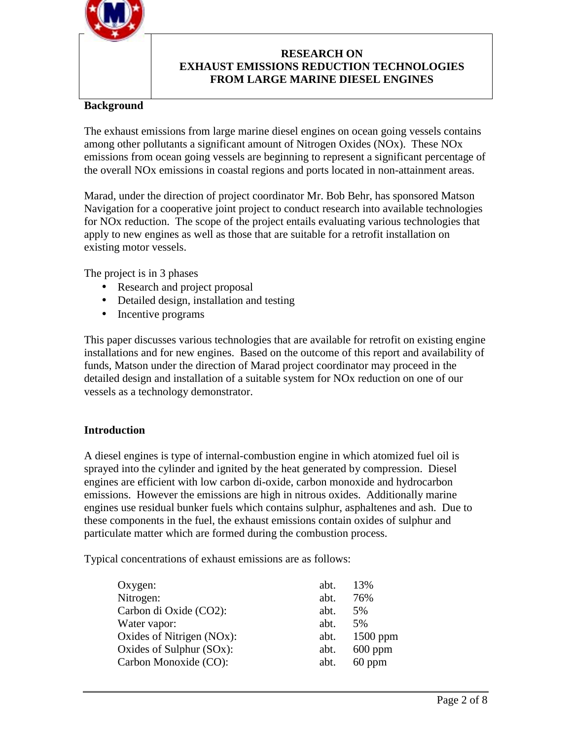

## **Background**

The exhaust emissions from large marine diesel engines on ocean going vessels contains among other pollutants a significant amount of Nitrogen Oxides (NOx). These NOx emissions from ocean going vessels are beginning to represent a significant percentage of the overall NOx emissions in coastal regions and ports located in non-attainment areas.

Marad, under the direction of project coordinator Mr. Bob Behr, has sponsored Matson Navigation for a cooperative joint project to conduct research into available technologies for NOx reduction. The scope of the project entails evaluating various technologies that apply to new engines as well as those that are suitable for a retrofit installation on existing motor vessels.

The project is in 3 phases

- Research and project proposal
- Detailed design, installation and testing
- Incentive programs

This paper discusses various technologies that are available for retrofit on existing engine installations and for new engines. Based on the outcome of this report and availability of funds, Matson under the direction of Marad project coordinator may proceed in the detailed design and installation of a suitable system for NOx reduction on one of our vessels as a technology demonstrator.

#### **Introduction**

A diesel engines is type of internal-combustion engine in which atomized fuel oil is sprayed into the cylinder and ignited by the heat generated by compression. Diesel engines are efficient with low carbon di-oxide, carbon monoxide and hydrocarbon emissions. However the emissions are high in nitrous oxides. Additionally marine engines use residual bunker fuels which contains sulphur, asphaltenes and ash. Due to these components in the fuel, the exhaust emissions contain oxides of sulphur and particulate matter which are formed during the combustion process.

Typical concentrations of exhaust emissions are as follows:

| $Oxygen$ :                | abt. | 13%        |
|---------------------------|------|------------|
| Nitrogen:                 | abt. | 76%        |
| Carbon di Oxide (CO2):    | abt. | 5%         |
| Water vapor:              | abt. | 5%         |
| Oxides of Nitrigen (NOx): | abt. | $1500$ ppm |
| Oxides of Sulphur (SOx):  | abt. | $600$ ppm  |
| Carbon Monoxide (CO):     | abt. | $60$ ppm   |
|                           |      |            |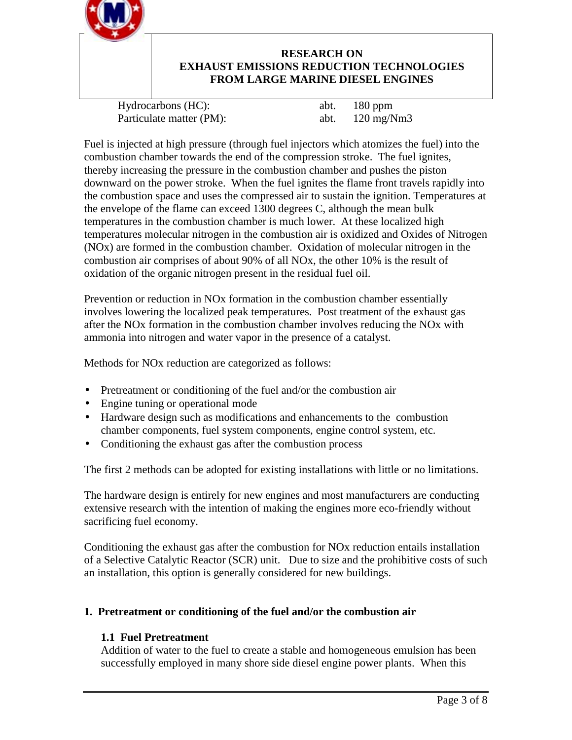

Hydrocarbons (HC): abt. 180 ppm Particulate matter (PM):  $abt. 120 mg/Nm3$ 

Fuel is injected at high pressure (through fuel injectors which atomizes the fuel) into the combustion chamber towards the end of the compression stroke. The fuel ignites, thereby increasing the pressure in the combustion chamber and pushes the piston downward on the power stroke. When the fuel ignites the flame front travels rapidly into the combustion space and uses the compressed air to sustain the ignition. Temperatures at the envelope of the flame can exceed 1300 degrees C, although the mean bulk temperatures in the combustion chamber is much lower. At these localized high temperatures molecular nitrogen in the combustion air is oxidized and Oxides of Nitrogen (NOx) are formed in the combustion chamber. Oxidation of molecular nitrogen in the combustion air comprises of about 90% of all NOx, the other 10% is the result of oxidation of the organic nitrogen present in the residual fuel oil.

Prevention or reduction in NOx formation in the combustion chamber essentially involves lowering the localized peak temperatures. Post treatment of the exhaust gas after the NOx formation in the combustion chamber involves reducing the NOx with ammonia into nitrogen and water vapor in the presence of a catalyst.

Methods for NOx reduction are categorized as follows:

- Pretreatment or conditioning of the fuel and/or the combustion air
- Engine tuning or operational mode
- Hardware design such as modifications and enhancements to the combustion chamber components, fuel system components, engine control system, etc.
- Conditioning the exhaust gas after the combustion process

The first 2 methods can be adopted for existing installations with little or no limitations.

The hardware design is entirely for new engines and most manufacturers are conducting extensive research with the intention of making the engines more eco-friendly without sacrificing fuel economy.

Conditioning the exhaust gas after the combustion for NOx reduction entails installation of a Selective Catalytic Reactor (SCR) unit. Due to size and the prohibitive costs of such an installation, this option is generally considered for new buildings.

# **1. Pretreatment or conditioning of the fuel and/or the combustion air**

#### **1.1 Fuel Pretreatment**

Addition of water to the fuel to create a stable and homogeneous emulsion has been successfully employed in many shore side diesel engine power plants. When this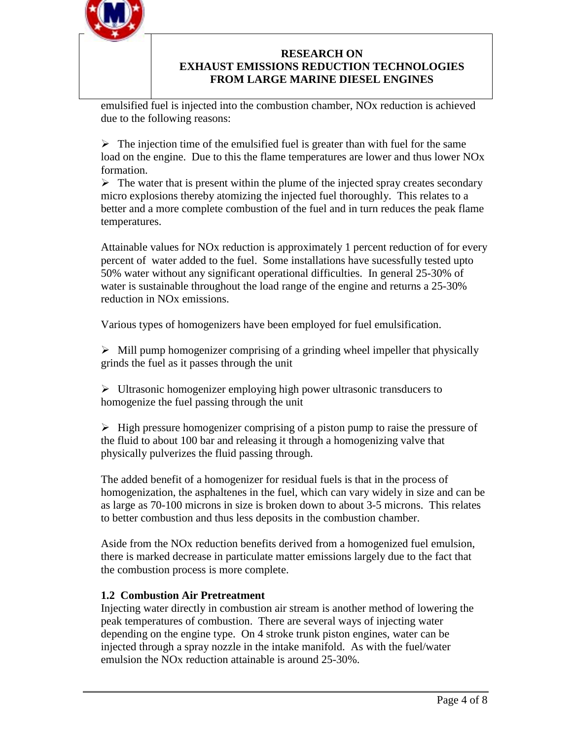

emulsified fuel is injected into the combustion chamber, NOx reduction is achieved due to the following reasons:

 $\triangleright$  The injection time of the emulsified fuel is greater than with fuel for the same load on the engine. Due to this the flame temperatures are lower and thus lower NO<sub>x</sub> formation.

 $\triangleright$  The water that is present within the plume of the injected spray creates secondary micro explosions thereby atomizing the injected fuel thoroughly. This relates to a better and a more complete combustion of the fuel and in turn reduces the peak flame temperatures.

Attainable values for NOx reduction is approximately 1 percent reduction of for every percent of water added to the fuel. Some installations have sucessfully tested upto 50% water without any significant operational difficulties. In general 25-30% of water is sustainable throughout the load range of the engine and returns a 25-30% reduction in NOx emissions.

Various types of homogenizers have been employed for fuel emulsification.

 $\triangleright$  Mill pump homogenizer comprising of a grinding wheel impeller that physically grinds the fuel as it passes through the unit

 $\triangleright$  Ultrasonic homogenizer employing high power ultrasonic transducers to homogenize the fuel passing through the unit

 $\triangleright$  High pressure homogenizer comprising of a piston pump to raise the pressure of the fluid to about 100 bar and releasing it through a homogenizing valve that physically pulverizes the fluid passing through.

The added benefit of a homogenizer for residual fuels is that in the process of homogenization, the asphaltenes in the fuel, which can vary widely in size and can be as large as 70-100 microns in size is broken down to about 3-5 microns. This relates to better combustion and thus less deposits in the combustion chamber.

Aside from the NOx reduction benefits derived from a homogenized fuel emulsion, there is marked decrease in particulate matter emissions largely due to the fact that the combustion process is more complete.

# **1.2 Combustion Air Pretreatment**

Injecting water directly in combustion air stream is another method of lowering the peak temperatures of combustion. There are several ways of injecting water depending on the engine type. On 4 stroke trunk piston engines, water can be injected through a spray nozzle in the intake manifold. As with the fuel/water emulsion the NOx reduction attainable is around 25-30%.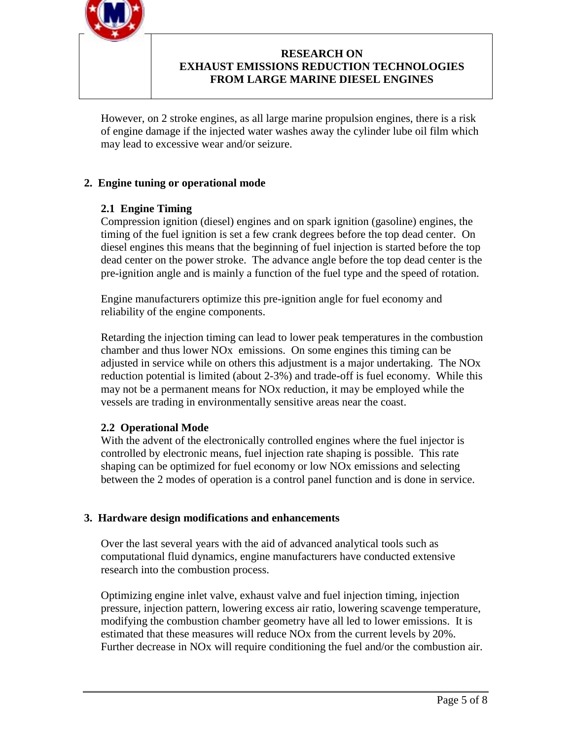

However, on 2 stroke engines, as all large marine propulsion engines, there is a risk of engine damage if the injected water washes away the cylinder lube oil film which may lead to excessive wear and/or seizure.

#### **2. Engine tuning or operational mode**

#### **2.1 Engine Timing**

Compression ignition (diesel) engines and on spark ignition (gasoline) engines, the timing of the fuel ignition is set a few crank degrees before the top dead center. On diesel engines this means that the beginning of fuel injection is started before the top dead center on the power stroke. The advance angle before the top dead center is the pre-ignition angle and is mainly a function of the fuel type and the speed of rotation.

Engine manufacturers optimize this pre-ignition angle for fuel economy and reliability of the engine components.

Retarding the injection timing can lead to lower peak temperatures in the combustion chamber and thus lower NOx emissions. On some engines this timing can be adjusted in service while on others this adjustment is a major undertaking. The NOx reduction potential is limited (about 2-3%) and trade-off is fuel economy. While this may not be a permanent means for NOx reduction, it may be employed while the vessels are trading in environmentally sensitive areas near the coast.

#### **2.2 Operational Mode**

With the advent of the electronically controlled engines where the fuel injector is controlled by electronic means, fuel injection rate shaping is possible. This rate shaping can be optimized for fuel economy or low NOx emissions and selecting between the 2 modes of operation is a control panel function and is done in service.

#### **3. Hardware design modifications and enhancements**

Over the last several years with the aid of advanced analytical tools such as computational fluid dynamics, engine manufacturers have conducted extensive research into the combustion process.

Optimizing engine inlet valve, exhaust valve and fuel injection timing, injection pressure, injection pattern, lowering excess air ratio, lowering scavenge temperature, modifying the combustion chamber geometry have all led to lower emissions. It is estimated that these measures will reduce NOx from the current levels by 20%. Further decrease in NOx will require conditioning the fuel and/or the combustion air.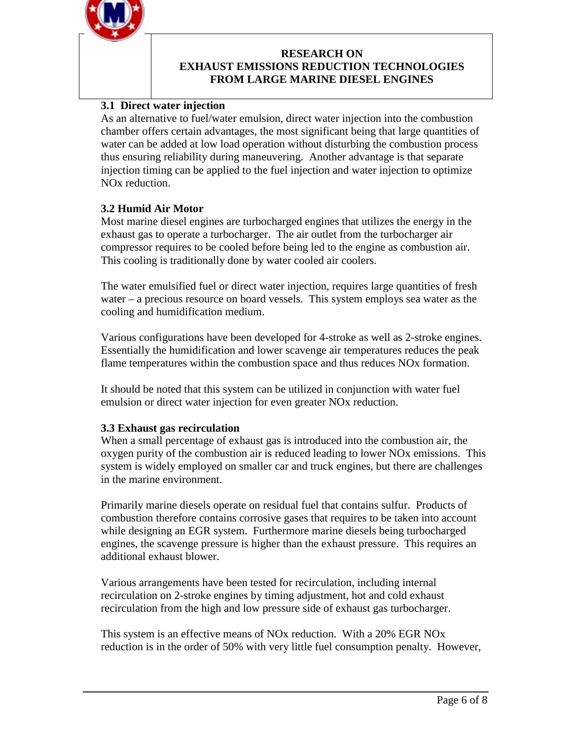

# **3.1 Direct water injection**

As an alternative to fuel/water emulsion, direct water injection into the combustion chamber offers certain advantages, the most significant being that large quantities of water can be added at low load operation without disturbing the combustion process thus ensuring reliability during maneuvering. Another advantage is that separate injection timing can be applied to the fuel injection and water injection to optimize NOx reduction.

## **3.2 Humid Air Motor**

Most marine diesel engines are turbocharged engines that utilizes the energy in the exhaust gas to operate a turbocharger. The air outlet from the turbocharger air compressor requires to be cooled before being led to the engine as combustion air. This cooling is traditionally done by water cooled air coolers.

The water emulsified fuel or direct water injection, requires large quantities of fresh water – a precious resource on board vessels. This system employs sea water as the cooling and humidification medium.

Various configurations have been developed for 4-stroke as well as 2-stroke engines. Essentially the humidification and lower scavenge air temperatures reduces the peak flame temperatures within the combustion space and thus reduces NOx formation.

It should be noted that this system can be utilized in conjunction with water fuel emulsion or direct water injection for even greater NOx reduction.

#### **3.3 Exhaust gas recirculation**

When a small percentage of exhaust gas is introduced into the combustion air, the oxygen purity of the combustion air is reduced leading to lower NOx emissions. This system is widely employed on smaller car and truck engines, but there are challenges in the marine environment.

Primarily marine diesels operate on residual fuel that contains sulfur. Products of combustion therefore contains corrosive gases that requires to be taken into account while designing an EGR system. Furthermore marine diesels being turbocharged engines, the scavenge pressure is higher than the exhaust pressure. This requires an additional exhaust blower.

Various arrangements have been tested for recirculation, including internal recirculation on 2-stroke engines by timing adjustment, hot and cold exhaust recirculation from the high and low pressure side of exhaust gas turbocharger.

This system is an effective means of NOx reduction. With a 20% EGR NOx reduction is in the order of 50% with very little fuel consumption penalty. However,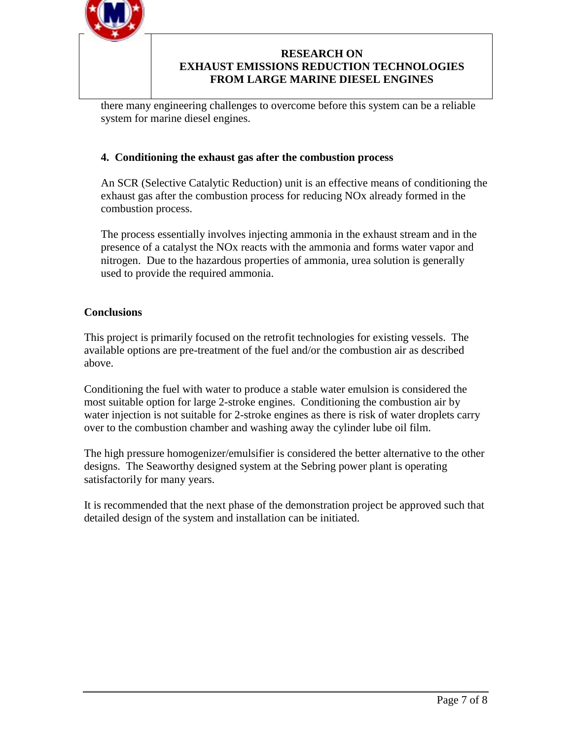

there many engineering challenges to overcome before this system can be a reliable system for marine diesel engines.

# **4. Conditioning the exhaust gas after the combustion process**

An SCR (Selective Catalytic Reduction) unit is an effective means of conditioning the exhaust gas after the combustion process for reducing NOx already formed in the combustion process.

The process essentially involves injecting ammonia in the exhaust stream and in the presence of a catalyst the NOx reacts with the ammonia and forms water vapor and nitrogen. Due to the hazardous properties of ammonia, urea solution is generally used to provide the required ammonia.

#### **Conclusions**

This project is primarily focused on the retrofit technologies for existing vessels. The available options are pre-treatment of the fuel and/or the combustion air as described above.

Conditioning the fuel with water to produce a stable water emulsion is considered the most suitable option for large 2-stroke engines. Conditioning the combustion air by water injection is not suitable for 2-stroke engines as there is risk of water droplets carry over to the combustion chamber and washing away the cylinder lube oil film.

The high pressure homogenizer/emulsifier is considered the better alternative to the other designs. The Seaworthy designed system at the Sebring power plant is operating satisfactorily for many years.

It is recommended that the next phase of the demonstration project be approved such that detailed design of the system and installation can be initiated.